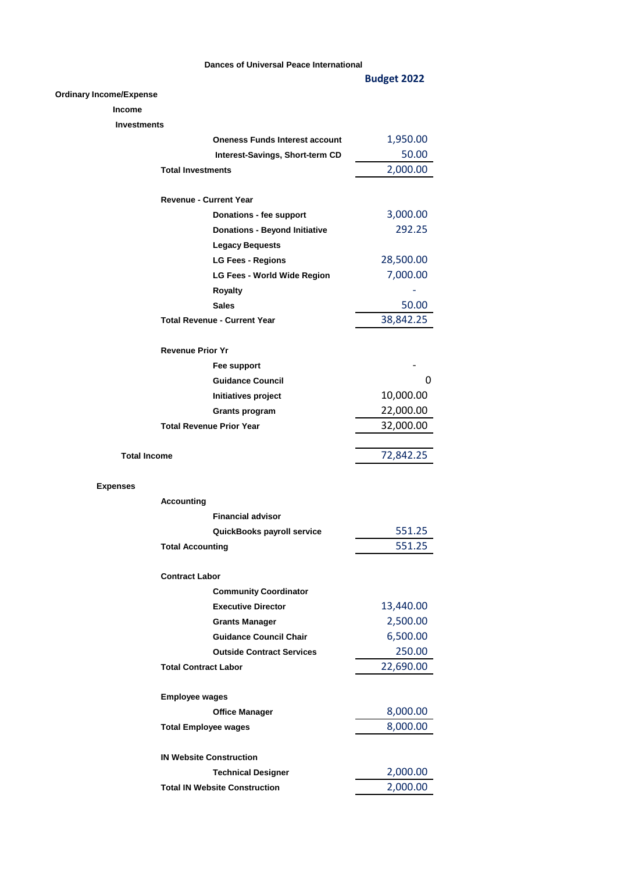## **Dances of Universal Peace International**

## **Budget 2022**

## **Ordinary Income/Expense**

**Income**

| <b>Investments</b> |
|--------------------|
|--------------------|

| mvesunents      |                                      |                                       |                       |
|-----------------|--------------------------------------|---------------------------------------|-----------------------|
|                 |                                      | <b>Oneness Funds Interest account</b> | 1,950.00              |
|                 |                                      | Interest-Savings, Short-term CD       | 50.00                 |
|                 | <b>Total Investments</b>             |                                       | 2,000.00              |
|                 | <b>Revenue - Current Year</b>        |                                       |                       |
|                 |                                      |                                       | 3,000.00              |
|                 |                                      | Donations - fee support               | 292.25                |
|                 |                                      | <b>Donations - Beyond Initiative</b>  |                       |
|                 |                                      | <b>Legacy Bequests</b>                |                       |
|                 |                                      | <b>LG Fees - Regions</b>              | 28,500.00<br>7,000.00 |
|                 |                                      | LG Fees - World Wide Region           |                       |
|                 | <b>Royalty</b>                       |                                       |                       |
|                 | <b>Sales</b>                         |                                       | 50.00                 |
|                 | <b>Total Revenue - Current Year</b>  |                                       | 38,842.25             |
|                 | <b>Revenue Prior Yr</b>              |                                       |                       |
|                 |                                      | Fee support                           |                       |
|                 |                                      | <b>Guidance Council</b>               | 0                     |
|                 |                                      | Initiatives project                   | 10,000.00             |
|                 |                                      | Grants program                        | 22,000.00             |
|                 | <b>Total Revenue Prior Year</b>      |                                       | 32,000.00             |
|                 | <b>Total Income</b>                  |                                       | 72,842.25             |
| <b>Expenses</b> |                                      |                                       |                       |
|                 | <b>Accounting</b>                    |                                       |                       |
|                 |                                      | <b>Financial advisor</b>              |                       |
|                 |                                      | QuickBooks payroll service            | 551.25                |
|                 | <b>Total Accounting</b>              |                                       | 551.25                |
|                 |                                      |                                       |                       |
|                 | <b>Contract Labor</b>                |                                       |                       |
|                 |                                      | <b>Community Coordinator</b>          |                       |
|                 |                                      | <b>Executive Director</b>             | 13,440.00             |
|                 |                                      | <b>Grants Manager</b>                 | 2,500.00              |
|                 |                                      | <b>Guidance Council Chair</b>         | 6,500.00              |
|                 |                                      | <b>Outside Contract Services</b>      | 250.00                |
|                 | <b>Total Contract Labor</b>          |                                       | 22,690.00             |
|                 | <b>Employee wages</b>                |                                       |                       |
|                 |                                      | <b>Office Manager</b>                 | 8,000.00              |
|                 | <b>Total Employee wages</b>          |                                       | 8,000.00              |
|                 |                                      |                                       |                       |
|                 | <b>IN Website Construction</b>       |                                       |                       |
|                 |                                      | <b>Technical Designer</b>             | 2,000.00              |
|                 | <b>Total IN Website Construction</b> |                                       | 2,000.00              |